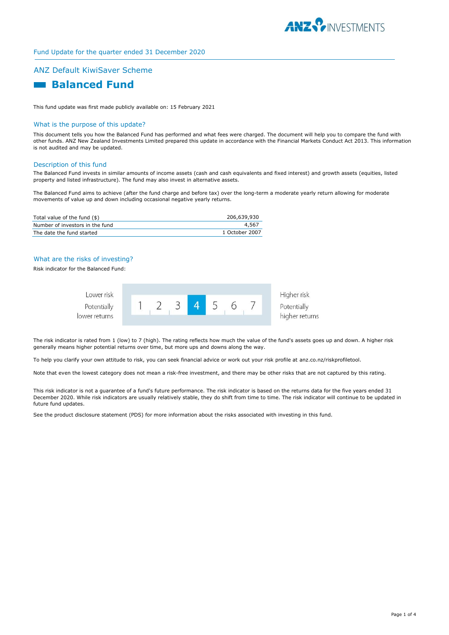

# Fund Update for the quarter ended 31 December 2020

# ANZ Default KiwiSaver Scheme

# **Balanced Fund**

This fund update was first made publicly available on: 15 February 2021

#### What is the purpose of this update?

This document tells you how the Balanced Fund has performed and what fees were charged. The document will help you to compare the fund with other funds. ANZ New Zealand Investments Limited prepared this update in accordance with the Financial Markets Conduct Act 2013. This information is not audited and may be updated.

#### Description of this fund

The Balanced Fund invests in similar amounts of income assets (cash and cash equivalents and fixed interest) and growth assets (equities, listed property and listed infrastructure). The fund may also invest in alternative assets.

The Balanced Fund aims to achieve (after the fund charge and before tax) over the long-term a moderate yearly return allowing for moderate movements of value up and down including occasional negative yearly returns.

| Total value of the fund $(\$)$  | 206,639,930    |
|---------------------------------|----------------|
| Number of investors in the fund | 4.567          |
| The date the fund started       | 1 October 2007 |

### What are the risks of investing?

Risk indicator for the Balanced Fund:



Higher risk higher returns

The risk indicator is rated from 1 (low) to 7 (high). The rating reflects how much the value of the fund's assets goes up and down. A higher risk generally means higher potential returns over time, but more ups and downs along the way.

To help you clarify your own attitude to risk, you can seek financial advice or work out your risk profile at anz.co.nz/riskprofiletool.

Note that even the lowest category does not mean a risk-free investment, and there may be other risks that are not captured by this rating.

This risk indicator is not a guarantee of a fund's future performance. The risk indicator is based on the returns data for the five years ended 31 December 2020. While risk indicators are usually relatively stable, they do shift from time to time. The risk indicator will continue to be updated in future fund updates.

See the product disclosure statement (PDS) for more information about the risks associated with investing in this fund.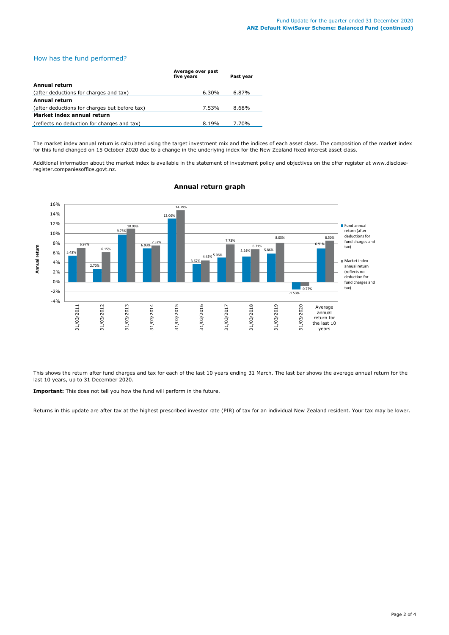# How has the fund performed?

|                                               | Average over past<br>five years | Past year |
|-----------------------------------------------|---------------------------------|-----------|
| Annual return                                 |                                 |           |
| (after deductions for charges and tax)        | 6.30%                           | 6.87%     |
| Annual return                                 |                                 |           |
| (after deductions for charges but before tax) | 7.53%                           | 8.68%     |
| Market index annual return                    |                                 |           |
| (reflects no deduction for charges and tax)   | 8.19%                           | 7.70%     |

The market index annual return is calculated using the target investment mix and the indices of each asset class. The composition of the market index for this fund changed on 15 October 2020 due to a change in the underlying index for the New Zealand fixed interest asset class.

Additional information about the market index is available in the statement of investment policy and objectives on the offer register at www.discloseregister.companiesoffice.govt.nz.



# **Annual return graph**

This shows the return after fund charges and tax for each of the last 10 years ending 31 March. The last bar shows the average annual return for the last 10 years, up to 31 December 2020.

**Important:** This does not tell you how the fund will perform in the future.

Returns in this update are after tax at the highest prescribed investor rate (PIR) of tax for an individual New Zealand resident. Your tax may be lower.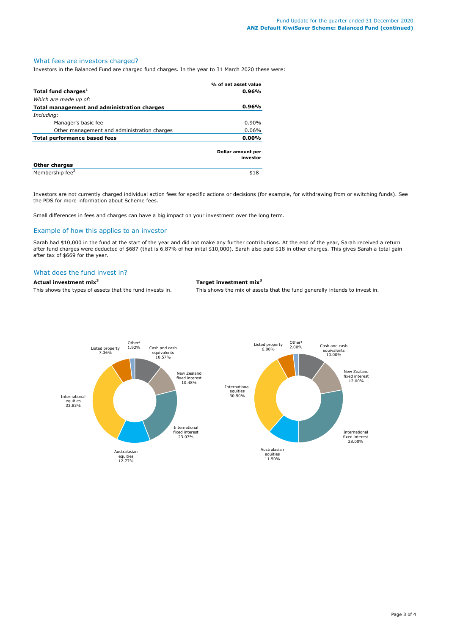# What fees are investors charged?

Investors in the Balanced Fund are charged fund charges. In the year to 31 March 2020 these were:

|                                             | % of net asset value          |
|---------------------------------------------|-------------------------------|
| Total fund charges <sup>1</sup>             | 0.96%                         |
| Which are made up of:                       |                               |
| Total management and administration charges | 0.96%                         |
| Including:                                  |                               |
| Manager's basic fee                         | 0.90%                         |
| Other management and administration charges | 0.06%                         |
| Total performance based fees                | 0.00%                         |
|                                             | Dollar amount per<br>investor |
| <b>Other charges</b>                        |                               |
| Membership fee <sup>2</sup>                 | \$18                          |

Investors are not currently charged individual action fees for specific actions or decisions (for example, for withdrawing from or switching funds). See the PDS for more information about Scheme fees.

Small differences in fees and charges can have a big impact on your investment over the long term.

# Example of how this applies to an investor

Sarah had \$10,000 in the fund at the start of the year and did not make any further contributions. At the end of the year, Sarah received a return after fund charges were deducted of \$687 (that is 6.87% of her inital \$10,000). Sarah also paid \$18 in other charges. This gives Sarah a total gain after tax of \$669 for the year.

#### What does the fund invest in?

**Actual investment mix<sup>3</sup> Target investment mix<sup>3</sup>**

This shows the types of assets that the fund invests in. This shows the mix of assets that the fund generally intends to invest in.